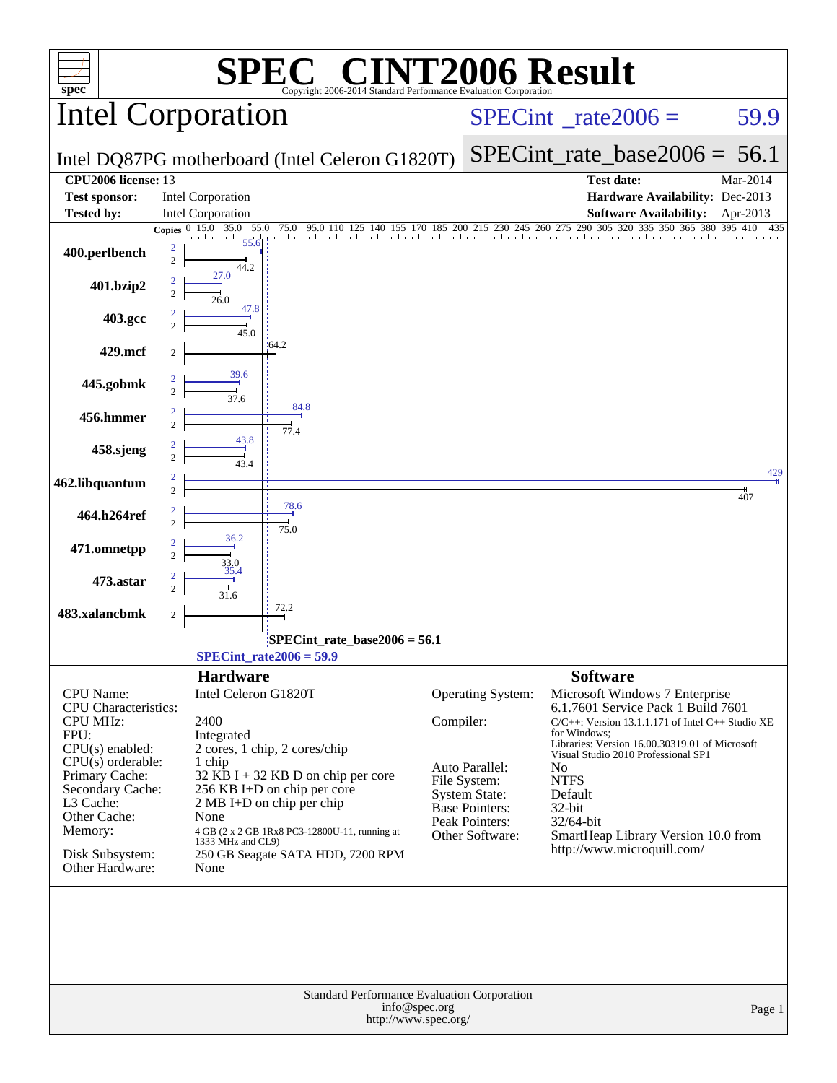| $spec^*$                                                           | Copyright 2006-2014 Standard Performance Evaluation Corporation                                          |               |                                          | <b>IT2006 Result</b>                                                                                                          |            |
|--------------------------------------------------------------------|----------------------------------------------------------------------------------------------------------|---------------|------------------------------------------|-------------------------------------------------------------------------------------------------------------------------------|------------|
|                                                                    | <b>Intel Corporation</b>                                                                                 |               |                                          | $SPECint^{\circ}$ rate $2006 =$                                                                                               | 59.9       |
|                                                                    | Intel DQ87PG motherboard (Intel Celeron G1820T)                                                          |               |                                          | $SPECint_rate_base2006 = 56.1$                                                                                                |            |
| <b>CPU2006</b> license: 13                                         |                                                                                                          |               |                                          | <b>Test date:</b>                                                                                                             | Mar-2014   |
| <b>Test sponsor:</b>                                               | <b>Intel Corporation</b>                                                                                 |               |                                          | Hardware Availability: Dec-2013                                                                                               |            |
| <b>Tested by:</b>                                                  | <b>Intel Corporation</b>                                                                                 |               |                                          | <b>Software Availability:</b>                                                                                                 | Apr-2013   |
| 400.perlbench                                                      | 55.0<br>15.0 35.0<br>75.0<br>95.0 110 125<br>155<br><b>Copies</b><br>55.6<br>2<br>$\overline{c}$<br>44.2 |               |                                          | 185 200 215 230 245 260 275 290 305 320<br>335<br>350 365<br>380                                                              | 395<br>410 |
| 401.bzip2                                                          | 27.0<br>$\overline{2}$<br>$\overline{c}$<br>26.0                                                         |               |                                          |                                                                                                                               |            |
| 403.gcc                                                            | 47.8<br>2<br>$\overline{c}$<br>$\frac{1}{45.0}$                                                          |               |                                          |                                                                                                                               |            |
| 429.mcf                                                            | 164.2                                                                                                    |               |                                          |                                                                                                                               |            |
| 445.gobmk                                                          | 39.6<br>$\overline{2}$<br>37.6                                                                           |               |                                          |                                                                                                                               |            |
| 456.hmmer                                                          | 84.8<br>$\overline{c}$<br>$\overline{c}$<br>77.4                                                         |               |                                          |                                                                                                                               |            |
| 458.sjeng                                                          | 43.8<br>$\overline{2}$<br>$\overline{c}$<br>43.4                                                         |               |                                          |                                                                                                                               |            |
| 462.libquantum                                                     | 2<br>$\overline{c}$                                                                                      |               |                                          |                                                                                                                               | 429<br>407 |
| 464.h264ref                                                        | 78.6<br>$\overline{c}$<br>$\overline{c}$<br>75.0                                                         |               |                                          |                                                                                                                               |            |
| 471.omnetpp                                                        | 36.2<br>2<br>$\overline{c}$<br>33.0                                                                      |               |                                          |                                                                                                                               |            |
| 473.astar                                                          | 35.4<br>2<br>$\overline{c}$<br>31.6                                                                      |               |                                          |                                                                                                                               |            |
| 483.xalancbmk                                                      | 72.2<br>2                                                                                                |               |                                          |                                                                                                                               |            |
|                                                                    | SPECint_rate_base2006 = 56.1<br>$SPECint_rate2006 = 59.9$                                                |               |                                          |                                                                                                                               |            |
|                                                                    | <b>Hardware</b>                                                                                          |               |                                          | <b>Software</b>                                                                                                               |            |
| <b>CPU</b> Name:<br><b>CPU</b> Characteristics:<br><b>CPU MHz:</b> | Intel Celeron G1820T<br>2400                                                                             | Compiler:     | <b>Operating System:</b>                 | Microsoft Windows 7 Enterprise<br>6.1.7601 Service Pack 1 Build 7601<br>$C/C++$ : Version 13.1.1.171 of Intel $C++$ Studio XE |            |
| FPU:<br>$CPU(s)$ enabled:                                          | Integrated<br>2 cores, 1 chip, 2 cores/chip                                                              |               |                                          | for Windows:<br>Libraries: Version 16.00.30319.01 of Microsoft<br>Visual Studio 2010 Professional SP1                         |            |
| $CPU(s)$ orderable:<br>Primary Cache:                              | 1 chip<br>32 KB I + 32 KB D on chip per core                                                             |               | Auto Parallel:                           | N <sub>0</sub><br><b>NTFS</b>                                                                                                 |            |
| Secondary Cache:                                                   | 256 KB I+D on chip per core                                                                              |               | File System:<br><b>System State:</b>     | Default                                                                                                                       |            |
| L3 Cache:<br>Other Cache:                                          | 2 MB I+D on chip per chip<br>None                                                                        |               | Base Pointers:                           | 32-bit                                                                                                                        |            |
| Memory:                                                            | 4 GB (2 x 2 GB 1Rx8 PC3-12800U-11, running at                                                            |               | <b>Peak Pointers:</b><br>Other Software: | 32/64-bit<br>SmartHeap Library Version 10.0 from                                                                              |            |
| Disk Subsystem:<br>Other Hardware:                                 | 1333 MHz and CL9)<br>250 GB Seagate SATA HDD, 7200 RPM<br>None                                           |               |                                          | http://www.microquill.com/                                                                                                    |            |
|                                                                    |                                                                                                          |               |                                          |                                                                                                                               |            |
|                                                                    | <b>Standard Performance Evaluation Corporation</b><br>http://www.spec.org/                               | info@spec.org |                                          |                                                                                                                               | Page 1     |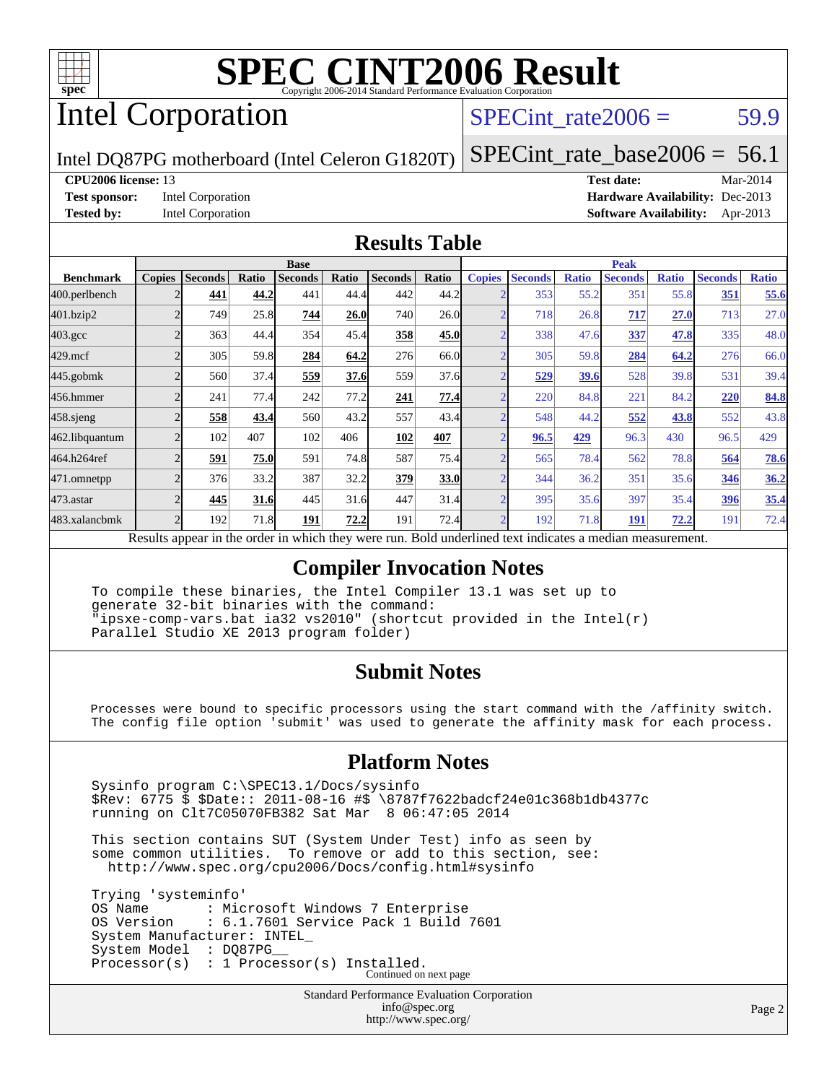

# Intel Corporation

SPECint rate $2006 = 59.9$ 

Intel DQ87PG motherboard (Intel Celeron G1820T)

[SPECint\\_rate\\_base2006 =](http://www.spec.org/auto/cpu2006/Docs/result-fields.html#SPECintratebase2006)  $56.1$ **[CPU2006 license:](http://www.spec.org/auto/cpu2006/Docs/result-fields.html#CPU2006license)** 13 **[Test date:](http://www.spec.org/auto/cpu2006/Docs/result-fields.html#Testdate)** Mar-2014

**[Test sponsor:](http://www.spec.org/auto/cpu2006/Docs/result-fields.html#Testsponsor)** Intel Corporation **[Hardware Availability:](http://www.spec.org/auto/cpu2006/Docs/result-fields.html#HardwareAvailability)** Dec-2013 **[Tested by:](http://www.spec.org/auto/cpu2006/Docs/result-fields.html#Testedby)** Intel Corporation **[Software Availability:](http://www.spec.org/auto/cpu2006/Docs/result-fields.html#SoftwareAvailability)** Apr-2013

### **[Results Table](http://www.spec.org/auto/cpu2006/Docs/result-fields.html#ResultsTable)**

|                                                                                                          | <b>Base</b>    |                |       |                |       |                | <b>Peak</b> |                |                |              |                |              |                |              |
|----------------------------------------------------------------------------------------------------------|----------------|----------------|-------|----------------|-------|----------------|-------------|----------------|----------------|--------------|----------------|--------------|----------------|--------------|
| <b>Benchmark</b>                                                                                         | <b>Copies</b>  | <b>Seconds</b> | Ratio | <b>Seconds</b> | Ratio | <b>Seconds</b> | Ratio       | <b>Copies</b>  | <b>Seconds</b> | <b>Ratio</b> | <b>Seconds</b> | <b>Ratio</b> | <b>Seconds</b> | <b>Ratio</b> |
| 400.perlbench                                                                                            |                | 441            | 44.2  | 441            | 44.4  | 442            | 44.2        |                | 353            | 55.2         | 351            | 55.8         | 351            | 55.6         |
| 401.bzip2                                                                                                |                | 749            | 25.8  | 744            | 26.0  | 740            | 26.0        | $\sim$         | 718            | 26.8         | 717            | 27.0         | 713            | 27.0         |
| $403.\mathrm{gcc}$                                                                                       | ◠              | 363            | 44.4  | 354            | 45.4  | 358            | 45.0        | $\overline{ }$ | 338            | 47.6         | 337            | 47.8         | 335            | 48.0         |
| $429$ .mcf                                                                                               | $\overline{c}$ | 305            | 59.8  | 284            | 64.2  | 276            | 66.0        | ⌒              | 305            | 59.8         | 284            | 64.2         | 276            | 66.0         |
| $445$ .gobm $k$                                                                                          | $\mathfrak{D}$ | 560            | 37.4  | 559            | 37.6  | 559            | 37.6        | $\bigcap$      | 529            | 39.6         | 528            | 39.8         | 531            | 39.4         |
| 456.hmmer                                                                                                | $\overline{c}$ | 241            | 77.4  | 242            | 77.2  | 241            | 77.4        | $\overline{2}$ | 220            | 84.8         | 221            | 84.2         | 220            | 84.8         |
| $458$ .sjeng                                                                                             |                | 558            | 43.4  | 560            | 43.2  | 557            | 43.4        |                | 548            | 44.2         | 552            | 43.8         | 552            | 43.8         |
| 462.libquantum                                                                                           | $\overline{c}$ | 102            | 407   | 102            | 406   | 102            | 407         | $\bigcap$      | 96.5           | 429          | 96.3           | 430          | 96.5           | 429          |
| 464.h264ref                                                                                              | $\overline{c}$ | 591            | 75.0  | 591            | 74.8  | 587            | 75.4        | $\bigcap$      | 565            | 78.4         | 562            | 78.8         | 564            | 78.6         |
| 471.omnetpp                                                                                              | $\overline{2}$ | 376            | 33.2  | 387            | 32.2  | 379            | 33.0        | $\sim$         | 344            | 36.2         | 351            | 35.6         | 346            | 36.2         |
| 473.astar                                                                                                | $\mathfrak{D}$ | 445            | 31.6  | 445            | 31.6  | 447            | 31.4        | $\bigcap$      | 395            | 35.6         | 397            | 35.4         | 396            | 35.4         |
| 483.xalancbmk                                                                                            | $\mathcal{D}$  | 192            | 71.8  | 191            | 72.2  | 191            | 72.4        | ◠              | 192            | 71.8         | 191            | 72.2         | 191            | 72.4         |
| Results appear in the order in which they were run. Bold underlined text indicates a median measurement. |                |                |       |                |       |                |             |                |                |              |                |              |                |              |

**[Compiler Invocation Notes](http://www.spec.org/auto/cpu2006/Docs/result-fields.html#CompilerInvocationNotes)**

 To compile these binaries, the Intel Compiler 13.1 was set up to generate 32-bit binaries with the command: "ipsxe-comp-vars.bat ia32 vs2010" (shortcut provided in the Intel(r) Parallel Studio XE 2013 program folder)

### **[Submit Notes](http://www.spec.org/auto/cpu2006/Docs/result-fields.html#SubmitNotes)**

 Processes were bound to specific processors using the start command with the /affinity switch. The config file option 'submit' was used to generate the affinity mask for each process.

### **[Platform Notes](http://www.spec.org/auto/cpu2006/Docs/result-fields.html#PlatformNotes)**

 Sysinfo program C:\SPEC13.1/Docs/sysinfo \$Rev: 6775 \$ \$Date:: 2011-08-16 #\$ \8787f7622badcf24e01c368b1db4377c running on Clt7C05070FB382 Sat Mar 8 06:47:05 2014

 This section contains SUT (System Under Test) info as seen by some common utilities. To remove or add to this section, see: <http://www.spec.org/cpu2006/Docs/config.html#sysinfo>

 Trying 'systeminfo' OS Name : Microsoft Windows 7 Enterprise<br>OS Version : 6.1.7601 Service Pack 1 Build : 6.1.7601 Service Pack 1 Build 7601 System Manufacturer: INTEL\_ System Model : DQ87PG Processor(s) : 1 Processor(s) Installed. Continued on next page

> Standard Performance Evaluation Corporation [info@spec.org](mailto:info@spec.org) <http://www.spec.org/>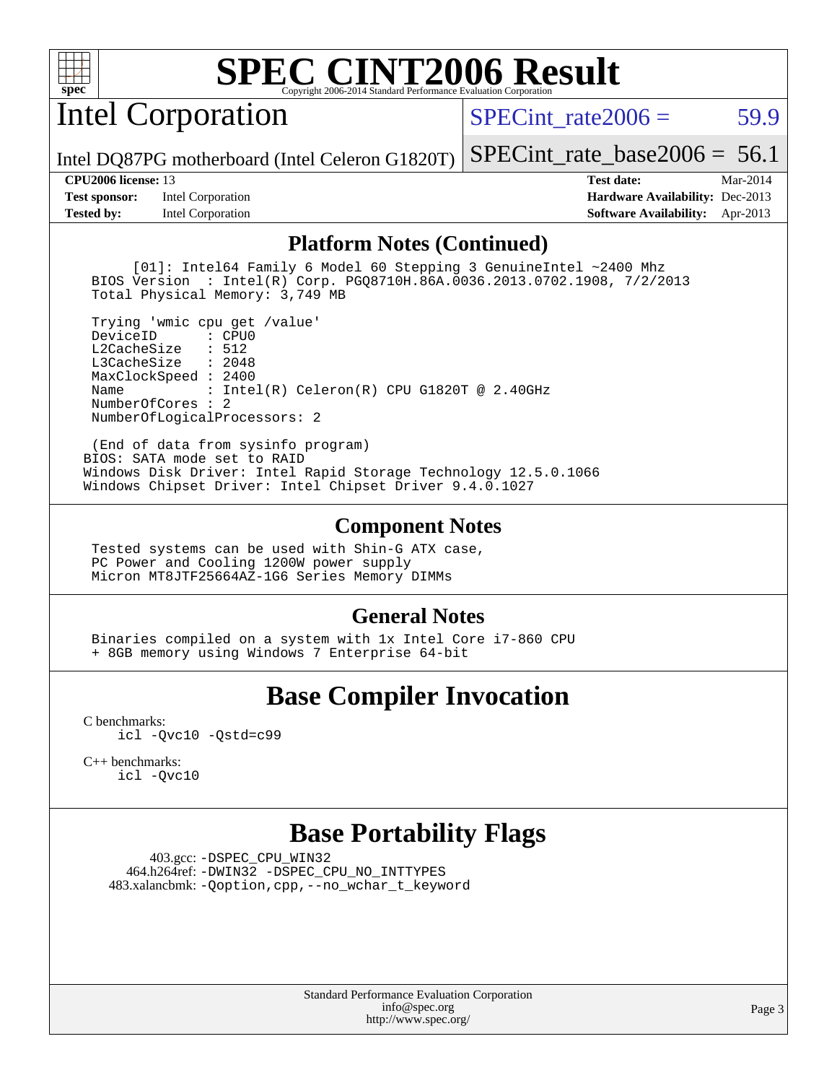

Intel Corporation

SPECint rate $2006 = 59.9$ 

[SPECint\\_rate\\_base2006 =](http://www.spec.org/auto/cpu2006/Docs/result-fields.html#SPECintratebase2006)  $56.1$ 

Intel DQ87PG motherboard (Intel Celeron G1820T)

**[Test sponsor:](http://www.spec.org/auto/cpu2006/Docs/result-fields.html#Testsponsor)** Intel Corporation **[Hardware Availability:](http://www.spec.org/auto/cpu2006/Docs/result-fields.html#HardwareAvailability)** Dec-2013

**[CPU2006 license:](http://www.spec.org/auto/cpu2006/Docs/result-fields.html#CPU2006license)** 13 **[Test date:](http://www.spec.org/auto/cpu2006/Docs/result-fields.html#Testdate)** Mar-2014 **[Tested by:](http://www.spec.org/auto/cpu2006/Docs/result-fields.html#Testedby)** Intel Corporation **[Software Availability:](http://www.spec.org/auto/cpu2006/Docs/result-fields.html#SoftwareAvailability)** Apr-2013

### **[Platform Notes \(Continued\)](http://www.spec.org/auto/cpu2006/Docs/result-fields.html#PlatformNotes)**

 [01]: Intel64 Family 6 Model 60 Stepping 3 GenuineIntel ~2400 Mhz BIOS Version : Intel(R) Corp. PGQ8710H.86A.0036.2013.0702.1908, 7/2/2013 Total Physical Memory: 3,749 MB

 Trying 'wmic cpu get /value' DeviceID L2CacheSize : 512 L3CacheSize : 2048 MaxClockSpeed : 2400 Name : Intel(R) Celeron(R) CPU G1820T @ 2.40GHz NumberOfCores : 2 NumberOfLogicalProcessors: 2

 (End of data from sysinfo program) BIOS: SATA mode set to RAID Windows Disk Driver: Intel Rapid Storage Technology 12.5.0.1066 Windows Chipset Driver: Intel Chipset Driver 9.4.0.1027

### **[Component Notes](http://www.spec.org/auto/cpu2006/Docs/result-fields.html#ComponentNotes)**

 Tested systems can be used with Shin-G ATX case, PC Power and Cooling 1200W power supply Micron MT8JTF25664AZ-1G6 Series Memory DIMMs

### **[General Notes](http://www.spec.org/auto/cpu2006/Docs/result-fields.html#GeneralNotes)**

 Binaries compiled on a system with 1x Intel Core i7-860 CPU + 8GB memory using Windows 7 Enterprise 64-bit

# **[Base Compiler Invocation](http://www.spec.org/auto/cpu2006/Docs/result-fields.html#BaseCompilerInvocation)**

[C benchmarks](http://www.spec.org/auto/cpu2006/Docs/result-fields.html#Cbenchmarks): [icl -Qvc10](http://www.spec.org/cpu2006/results/res2014q3/cpu2006-20140701-30243.flags.html#user_CCbase_intel_icc_vc10_9607f3ecbcdf68042245f068e51b40c1) [-Qstd=c99](http://www.spec.org/cpu2006/results/res2014q3/cpu2006-20140701-30243.flags.html#user_CCbase_intel_compiler_c99_mode_1a3d110e3041b3ad4466830521bdad2a)

[C++ benchmarks:](http://www.spec.org/auto/cpu2006/Docs/result-fields.html#CXXbenchmarks) [icl -Qvc10](http://www.spec.org/cpu2006/results/res2014q3/cpu2006-20140701-30243.flags.html#user_CXXbase_intel_icc_vc10_9607f3ecbcdf68042245f068e51b40c1)

## **[Base Portability Flags](http://www.spec.org/auto/cpu2006/Docs/result-fields.html#BasePortabilityFlags)**

 403.gcc: [-DSPEC\\_CPU\\_WIN32](http://www.spec.org/cpu2006/results/res2014q3/cpu2006-20140701-30243.flags.html#b403.gcc_baseCPORTABILITY_DSPEC_CPU_WIN32) 464.h264ref: [-DWIN32](http://www.spec.org/cpu2006/results/res2014q3/cpu2006-20140701-30243.flags.html#b464.h264ref_baseCPORTABILITY_DWIN32) [-DSPEC\\_CPU\\_NO\\_INTTYPES](http://www.spec.org/cpu2006/results/res2014q3/cpu2006-20140701-30243.flags.html#b464.h264ref_baseCPORTABILITY_DSPEC_CPU_NO_INTTYPES) 483.xalancbmk: [-Qoption,cpp,--no\\_wchar\\_t\\_keyword](http://www.spec.org/cpu2006/results/res2014q3/cpu2006-20140701-30243.flags.html#user_baseCXXPORTABILITY483_xalancbmk_f-no_wchar_t_keyword_ec0ad4495a16b4e858bfcb29d949d25d)

> Standard Performance Evaluation Corporation [info@spec.org](mailto:info@spec.org) <http://www.spec.org/>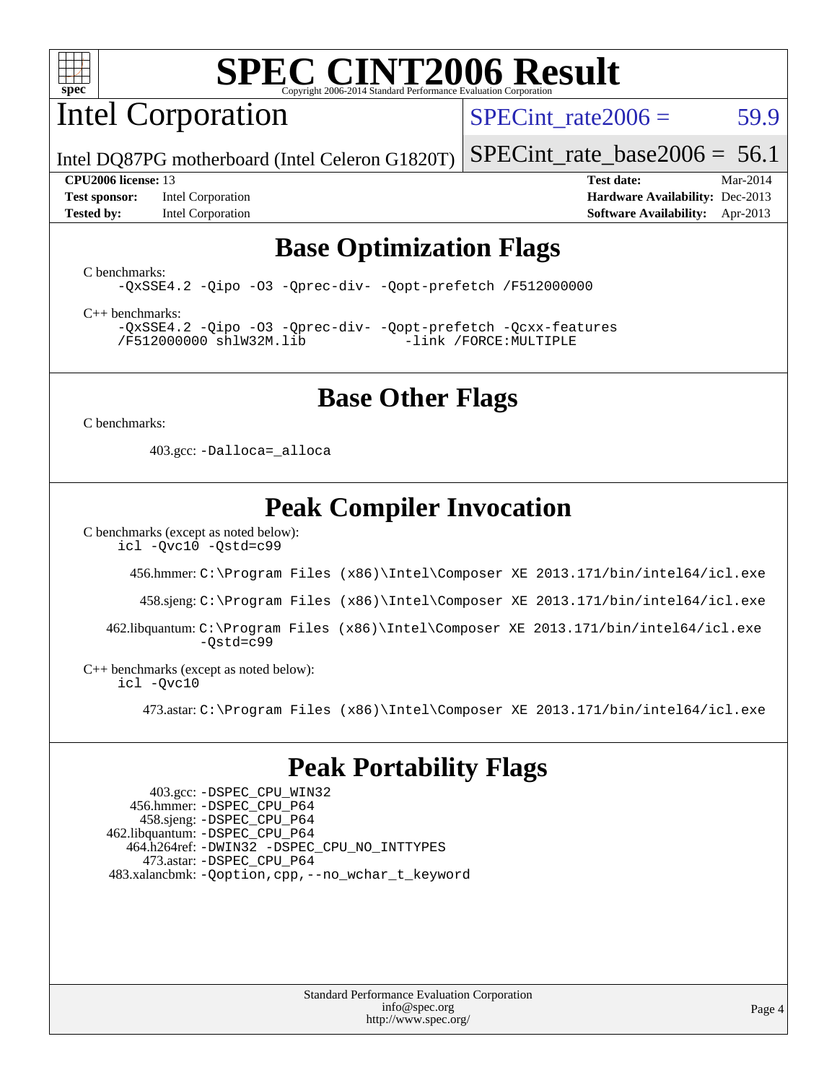

Intel Corporation

SPECint rate $2006 = 59.9$ 

[SPECint\\_rate\\_base2006 =](http://www.spec.org/auto/cpu2006/Docs/result-fields.html#SPECintratebase2006)  $56.1$ 

Intel DQ87PG motherboard (Intel Celeron G1820T)

**[Tested by:](http://www.spec.org/auto/cpu2006/Docs/result-fields.html#Testedby)** Intel Corporation **[Software Availability:](http://www.spec.org/auto/cpu2006/Docs/result-fields.html#SoftwareAvailability)** Apr-2013

**[CPU2006 license:](http://www.spec.org/auto/cpu2006/Docs/result-fields.html#CPU2006license)** 13 **[Test date:](http://www.spec.org/auto/cpu2006/Docs/result-fields.html#Testdate)** Mar-2014 **[Test sponsor:](http://www.spec.org/auto/cpu2006/Docs/result-fields.html#Testsponsor)** Intel Corporation **[Hardware Availability:](http://www.spec.org/auto/cpu2006/Docs/result-fields.html#HardwareAvailability)** Dec-2013

## **[Base Optimization Flags](http://www.spec.org/auto/cpu2006/Docs/result-fields.html#BaseOptimizationFlags)**

[C benchmarks](http://www.spec.org/auto/cpu2006/Docs/result-fields.html#Cbenchmarks):

[-QxSSE4.2](http://www.spec.org/cpu2006/results/res2014q3/cpu2006-20140701-30243.flags.html#user_CCbase_f-QxSSE42_372695bbe211719895df0310b324a1ca) [-Qipo](http://www.spec.org/cpu2006/results/res2014q3/cpu2006-20140701-30243.flags.html#user_CCbase_f-Qipo) [-O3](http://www.spec.org/cpu2006/results/res2014q3/cpu2006-20140701-30243.flags.html#user_CCbase_f-O3) [-Qprec-div-](http://www.spec.org/cpu2006/results/res2014q3/cpu2006-20140701-30243.flags.html#user_CCbase_f-Qprec-div-) [-Qopt-prefetch](http://www.spec.org/cpu2006/results/res2014q3/cpu2006-20140701-30243.flags.html#user_CCbase_f-Qprefetch_37c211608666b9dff9380561f602f0a8) [/F512000000](http://www.spec.org/cpu2006/results/res2014q3/cpu2006-20140701-30243.flags.html#user_CCbase_set_stack_space_98438a10eb60aa5f35f4c79d9b9b27b1)

[C++ benchmarks:](http://www.spec.org/auto/cpu2006/Docs/result-fields.html#CXXbenchmarks)

[-QxSSE4.2](http://www.spec.org/cpu2006/results/res2014q3/cpu2006-20140701-30243.flags.html#user_CXXbase_f-QxSSE42_372695bbe211719895df0310b324a1ca) [-Qipo](http://www.spec.org/cpu2006/results/res2014q3/cpu2006-20140701-30243.flags.html#user_CXXbase_f-Qipo) [-O3](http://www.spec.org/cpu2006/results/res2014q3/cpu2006-20140701-30243.flags.html#user_CXXbase_f-O3) [-Qprec-div-](http://www.spec.org/cpu2006/results/res2014q3/cpu2006-20140701-30243.flags.html#user_CXXbase_f-Qprec-div-) [-Qopt-prefetch](http://www.spec.org/cpu2006/results/res2014q3/cpu2006-20140701-30243.flags.html#user_CXXbase_f-Qprefetch_37c211608666b9dff9380561f602f0a8) [-Qcxx-features](http://www.spec.org/cpu2006/results/res2014q3/cpu2006-20140701-30243.flags.html#user_CXXbase_f-Qcxx_features_dbf36c8a6dba956e22f1645e4dcd4d98) [/F512000000](http://www.spec.org/cpu2006/results/res2014q3/cpu2006-20140701-30243.flags.html#user_CXXbase_set_stack_space_98438a10eb60aa5f35f4c79d9b9b27b1) [shlW32M.lib](http://www.spec.org/cpu2006/results/res2014q3/cpu2006-20140701-30243.flags.html#user_CXXbase_SmartHeap32_d106338dfda1a055705c9b519e07f096) [-link /FORCE:MULTIPLE](http://www.spec.org/cpu2006/results/res2014q3/cpu2006-20140701-30243.flags.html#user_CXXbase_link_force_multiple2_070fe330869edf77077b841074b8b0b6)

### **[Base Other Flags](http://www.spec.org/auto/cpu2006/Docs/result-fields.html#BaseOtherFlags)**

[C benchmarks](http://www.spec.org/auto/cpu2006/Docs/result-fields.html#Cbenchmarks):

403.gcc: [-Dalloca=\\_alloca](http://www.spec.org/cpu2006/results/res2014q3/cpu2006-20140701-30243.flags.html#b403.gcc_baseEXTRA_CFLAGS_Dalloca_be3056838c12de2578596ca5467af7f3)

## **[Peak Compiler Invocation](http://www.spec.org/auto/cpu2006/Docs/result-fields.html#PeakCompilerInvocation)**

[C benchmarks \(except as noted below\)](http://www.spec.org/auto/cpu2006/Docs/result-fields.html#Cbenchmarksexceptasnotedbelow):

[icl -Qvc10](http://www.spec.org/cpu2006/results/res2014q3/cpu2006-20140701-30243.flags.html#user_CCpeak_intel_icc_vc10_9607f3ecbcdf68042245f068e51b40c1) [-Qstd=c99](http://www.spec.org/cpu2006/results/res2014q3/cpu2006-20140701-30243.flags.html#user_CCpeak_intel_compiler_c99_mode_1a3d110e3041b3ad4466830521bdad2a)

456.hmmer: [C:\Program Files \(x86\)\Intel\Composer XE 2013.171/bin/intel64/icl.exe](http://www.spec.org/cpu2006/results/res2014q3/cpu2006-20140701-30243.flags.html#user_peakCCLD456_hmmer_intel_icc_64bit_a47adb23ffeeb40a4c72a454746f326c)

458.sjeng: [C:\Program Files \(x86\)\Intel\Composer XE 2013.171/bin/intel64/icl.exe](http://www.spec.org/cpu2006/results/res2014q3/cpu2006-20140701-30243.flags.html#user_peakCCLD458_sjeng_intel_icc_64bit_a47adb23ffeeb40a4c72a454746f326c)

 462.libquantum: [C:\Program Files \(x86\)\Intel\Composer XE 2013.171/bin/intel64/icl.exe](http://www.spec.org/cpu2006/results/res2014q3/cpu2006-20140701-30243.flags.html#user_peakCCLD462_libquantum_intel_icc_64bit_a47adb23ffeeb40a4c72a454746f326c) [-Qstd=c99](http://www.spec.org/cpu2006/results/res2014q3/cpu2006-20140701-30243.flags.html#user_peakCCLD462_libquantum_intel_compiler_c99_mode_1a3d110e3041b3ad4466830521bdad2a)

[C++ benchmarks \(except as noted below\):](http://www.spec.org/auto/cpu2006/Docs/result-fields.html#CXXbenchmarksexceptasnotedbelow) [icl -Qvc10](http://www.spec.org/cpu2006/results/res2014q3/cpu2006-20140701-30243.flags.html#user_CXXpeak_intel_icc_vc10_9607f3ecbcdf68042245f068e51b40c1)

473.astar: [C:\Program Files \(x86\)\Intel\Composer XE 2013.171/bin/intel64/icl.exe](http://www.spec.org/cpu2006/results/res2014q3/cpu2006-20140701-30243.flags.html#user_peakCXXLD473_astar_intel_icc_64bit_a47adb23ffeeb40a4c72a454746f326c)

## **[Peak Portability Flags](http://www.spec.org/auto/cpu2006/Docs/result-fields.html#PeakPortabilityFlags)**

 403.gcc: [-DSPEC\\_CPU\\_WIN32](http://www.spec.org/cpu2006/results/res2014q3/cpu2006-20140701-30243.flags.html#b403.gcc_peakCPORTABILITY_DSPEC_CPU_WIN32) 456.hmmer: [-DSPEC\\_CPU\\_P64](http://www.spec.org/cpu2006/results/res2014q3/cpu2006-20140701-30243.flags.html#suite_peakPORTABILITY456_hmmer_DSPEC_CPU_P64) 458.sjeng: [-DSPEC\\_CPU\\_P64](http://www.spec.org/cpu2006/results/res2014q3/cpu2006-20140701-30243.flags.html#suite_peakPORTABILITY458_sjeng_DSPEC_CPU_P64) 462.libquantum: [-DSPEC\\_CPU\\_P64](http://www.spec.org/cpu2006/results/res2014q3/cpu2006-20140701-30243.flags.html#suite_peakPORTABILITY462_libquantum_DSPEC_CPU_P64) 464.h264ref: [-DWIN32](http://www.spec.org/cpu2006/results/res2014q3/cpu2006-20140701-30243.flags.html#b464.h264ref_peakCPORTABILITY_DWIN32) [-DSPEC\\_CPU\\_NO\\_INTTYPES](http://www.spec.org/cpu2006/results/res2014q3/cpu2006-20140701-30243.flags.html#b464.h264ref_peakCPORTABILITY_DSPEC_CPU_NO_INTTYPES) 473.astar: [-DSPEC\\_CPU\\_P64](http://www.spec.org/cpu2006/results/res2014q3/cpu2006-20140701-30243.flags.html#suite_peakPORTABILITY473_astar_DSPEC_CPU_P64) 483.xalancbmk: [-Qoption,cpp,--no\\_wchar\\_t\\_keyword](http://www.spec.org/cpu2006/results/res2014q3/cpu2006-20140701-30243.flags.html#user_peakCXXPORTABILITY483_xalancbmk_f-no_wchar_t_keyword_ec0ad4495a16b4e858bfcb29d949d25d)

> Standard Performance Evaluation Corporation [info@spec.org](mailto:info@spec.org) <http://www.spec.org/>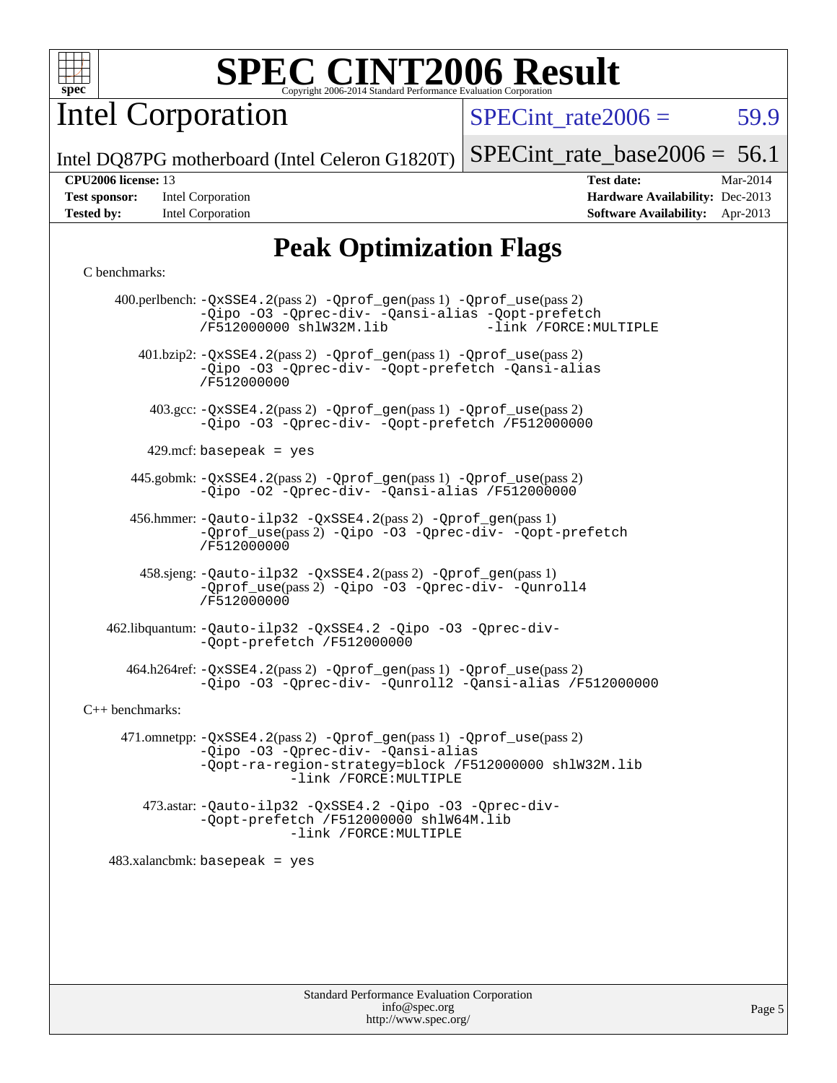

Intel Corporation

 $SPECTnt_rate2006 = 59.9$ 

[SPECint\\_rate\\_base2006 =](http://www.spec.org/auto/cpu2006/Docs/result-fields.html#SPECintratebase2006) 56.1

Intel DQ87PG motherboard (Intel Celeron G1820T)

**[Tested by:](http://www.spec.org/auto/cpu2006/Docs/result-fields.html#Testedby)** Intel Corporation **[Software Availability:](http://www.spec.org/auto/cpu2006/Docs/result-fields.html#SoftwareAvailability)** Apr-2013

**[CPU2006 license:](http://www.spec.org/auto/cpu2006/Docs/result-fields.html#CPU2006license)** 13 **[Test date:](http://www.spec.org/auto/cpu2006/Docs/result-fields.html#Testdate)** Mar-2014 **[Test sponsor:](http://www.spec.org/auto/cpu2006/Docs/result-fields.html#Testsponsor)** Intel Corporation **[Hardware Availability:](http://www.spec.org/auto/cpu2006/Docs/result-fields.html#HardwareAvailability)** Dec-2013

# **[Peak Optimization Flags](http://www.spec.org/auto/cpu2006/Docs/result-fields.html#PeakOptimizationFlags)**

### [C benchmarks](http://www.spec.org/auto/cpu2006/Docs/result-fields.html#Cbenchmarks):

|                   | 400.perlbench: -QxSSE4.2(pass 2) -Qprof_gen(pass 1) -Qprof_use(pass 2)<br>-Qipo -03 -Qprec-div- -Qansi-alias -Qopt-prefetch<br>-link /FORCE: MULTIPLE<br>/F512000000 shlW32M.lib                     |
|-------------------|------------------------------------------------------------------------------------------------------------------------------------------------------------------------------------------------------|
|                   | 401.bzip2: -QxSSE4.2(pass 2) -Qprof_gen(pass 1) -Qprof_use(pass 2)<br>-Qipo -03 -Qprec-div- -Qopt-prefetch -Qansi-alias<br>/F512000000                                                               |
|                   | 403.gcc: -QxSSE4.2(pass 2) -Qprof_gen(pass 1) -Qprof_use(pass 2)<br>-Qipo -03 -Qprec-div- -Qopt-prefetch /F512000000                                                                                 |
|                   | 429.mcf: basepeak = $yes$                                                                                                                                                                            |
|                   | 445.gobmk: -QxSSE4.2(pass 2) -Qprof_gen(pass 1) -Qprof_use(pass 2)<br>-Qipo -02 -Qprec-div- -Qansi-alias /F512000000                                                                                 |
|                   | 456.hmmer: - Qauto-ilp32 - QxSSE4.2(pass 2) - Qprof_gen(pass 1)<br>-Oprof_use(pass 2) -Qipo -03 -Oprec-div- -Oopt-prefetch<br>/F512000000                                                            |
|                   | 458.sjeng: - Qauto-ilp32 - QxSSE4.2(pass 2) - Qprof_gen(pass 1)<br>-Qprof_use(pass 2) -Qipo -03 -Qprec-div- -Qunroll4<br>/F512000000                                                                 |
|                   | 462.libquantum: - Qauto-ilp32 - QxSSE4.2 - Qipo - 03 - Qprec-div-<br>-Qopt-prefetch /F512000000                                                                                                      |
|                   | 464.h264ref: -QxSSE4.2(pass 2) -Qprof_gen(pass 1) -Qprof_use(pass 2)<br>-Qipo -03 -Qprec-div- -Qunroll2 -Qansi-alias /F512000000                                                                     |
| $C++$ benchmarks: |                                                                                                                                                                                                      |
|                   | 471.omnetpp: $-QxSSE4$ . 2(pass 2) - Qprof_gen(pass 1) - Qprof_use(pass 2)<br>-Qipo -03 -Qprec-div- -Qansi-alias<br>-Qopt-ra-region-strategy=block /F512000000 shlW32M.lib<br>-link /FORCE: MULTIPLE |
|                   | 473.astar: -Qauto-ilp32 -QxSSE4.2 -Qipo -03 -Qprec-div-<br>-Qopt-prefetch /F512000000 shlW64M.lib<br>-link /FORCE: MULTIPLE                                                                          |
|                   | $483.xalanchmk: basepeak = yes$                                                                                                                                                                      |
|                   |                                                                                                                                                                                                      |
|                   |                                                                                                                                                                                                      |
|                   |                                                                                                                                                                                                      |